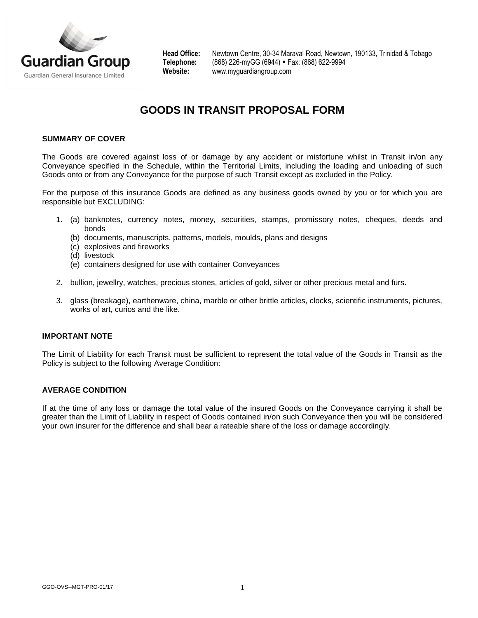

**Head Office:** Newtown Centre, 30-34 Maraval Road, Newtown, 190133, Trinidad & Tobago **Telephone:** (868) 226-myGG (6944) Fax: (868) 622-9994 **Website:** www.myguardiangroup.com

# **GOODS IN TRANSIT PROPOSAL FORM**

#### **SUMMARY OF COVER**

The Goods are covered against loss of or damage by any accident or misfortune whilst in Transit in/on any Conveyance specified in the Schedule, within the Territorial Limits, including the loading and unloading of such Goods onto or from any Conveyance for the purpose of such Transit except as excluded in the Policy.

For the purpose of this insurance Goods are defined as any business goods owned by you or for which you are responsible but EXCLUDING:

- 1. (a) banknotes, currency notes, money, securities, stamps, promissory notes, cheques, deeds and bonds
	- (b) documents, manuscripts, patterns, models, moulds, plans and designs
	- (c) explosives and fireworks
	- (d) livestock
	- (e) containers designed for use with container Conveyances
- 2. bullion, jewellry, watches, precious stones, articles of gold, silver or other precious metal and furs.
- 3. glass (breakage), earthenware, china, marble or other brittle articles, clocks, scientific instruments, pictures, works of art, curios and the like.

#### **IMPORTANT NOTE**

The Limit of Liability for each Transit must be sufficient to represent the total value of the Goods in Transit as the Policy is subject to the following Average Condition:

#### **AVERAGE CONDITION**

If at the time of any loss or damage the total value of the insured Goods on the Conveyance carrying it shall be greater than the Limit of Liability in respect of Goods contained in/on such Conveyance then you will be considered your own insurer for the difference and shall bear a rateable share of the loss or damage accordingly.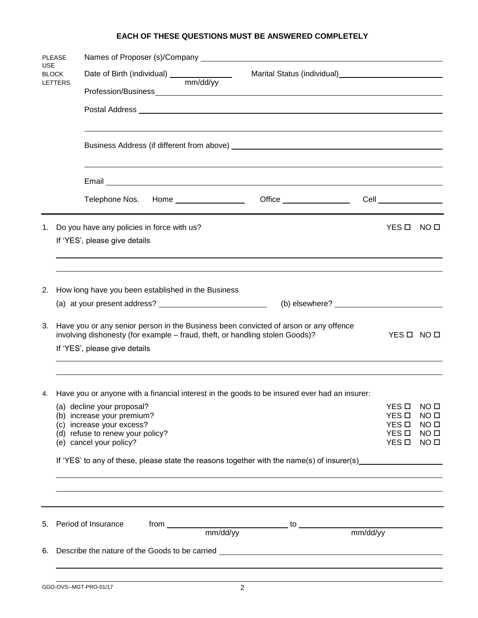## **EACH OF THESE QUESTIONS MUST BE ANSWERED COMPLETELY**

| <b>PLEASE</b><br><b>USE</b><br><b>BLOCK</b><br><b>LETTERS</b> |                                                                                                                                                                                    |                                                                                                                                                                                                                                      |                           |                                    |  |  |  |  |  |  |
|---------------------------------------------------------------|------------------------------------------------------------------------------------------------------------------------------------------------------------------------------------|--------------------------------------------------------------------------------------------------------------------------------------------------------------------------------------------------------------------------------------|---------------------------|------------------------------------|--|--|--|--|--|--|
|                                                               |                                                                                                                                                                                    | Marital Status (individual)<br><u>Marital Status (individual)</u>                                                                                                                                                                    |                           |                                    |  |  |  |  |  |  |
|                                                               |                                                                                                                                                                                    |                                                                                                                                                                                                                                      |                           |                                    |  |  |  |  |  |  |
|                                                               |                                                                                                                                                                                    |                                                                                                                                                                                                                                      |                           |                                    |  |  |  |  |  |  |
|                                                               |                                                                                                                                                                                    |                                                                                                                                                                                                                                      |                           |                                    |  |  |  |  |  |  |
|                                                               |                                                                                                                                                                                    |                                                                                                                                                                                                                                      |                           |                                    |  |  |  |  |  |  |
|                                                               |                                                                                                                                                                                    | Email <u>experience and the contract of the contract of the contract of the contract of the contract of the contract of the contract of the contract of the contract of the contract of the contract of the contract of the cont</u> |                           |                                    |  |  |  |  |  |  |
|                                                               |                                                                                                                                                                                    |                                                                                                                                                                                                                                      |                           |                                    |  |  |  |  |  |  |
| 1.                                                            |                                                                                                                                                                                    | Do you have any policies in force with us?                                                                                                                                                                                           | YES O                     | NO □                               |  |  |  |  |  |  |
|                                                               |                                                                                                                                                                                    | If 'YES', please give details                                                                                                                                                                                                        |                           |                                    |  |  |  |  |  |  |
|                                                               |                                                                                                                                                                                    |                                                                                                                                                                                                                                      |                           |                                    |  |  |  |  |  |  |
| 2.                                                            | How long have you been established in the Business                                                                                                                                 |                                                                                                                                                                                                                                      |                           |                                    |  |  |  |  |  |  |
|                                                               |                                                                                                                                                                                    | $(b)$ elsewhere? $\qquad \qquad$                                                                                                                                                                                                     |                           |                                    |  |  |  |  |  |  |
| 3.                                                            | Have you or any senior person in the Business been convicted of arson or any offence<br>involving dishonesty (for example - fraud, theft, or handling stolen Goods)?<br>YES O NO O |                                                                                                                                                                                                                                      |                           |                                    |  |  |  |  |  |  |
|                                                               |                                                                                                                                                                                    | If 'YES', please give details                                                                                                                                                                                                        |                           |                                    |  |  |  |  |  |  |
|                                                               |                                                                                                                                                                                    |                                                                                                                                                                                                                                      |                           |                                    |  |  |  |  |  |  |
|                                                               |                                                                                                                                                                                    | 4. Have you or anyone with a financial interest in the goods to be insured ever had an insurer:                                                                                                                                      |                           |                                    |  |  |  |  |  |  |
|                                                               |                                                                                                                                                                                    | (a) decline your proposal?<br>(b) increase your premium?                                                                                                                                                                             | YES O<br>YES <sub>D</sub> | NO <sub>0</sub><br>NO <sub>0</sub> |  |  |  |  |  |  |
|                                                               |                                                                                                                                                                                    | (c) increase your excess?                                                                                                                                                                                                            | YES <b>D</b><br>YES O     | NO <sub>0</sub><br>NO <sub>0</sub> |  |  |  |  |  |  |
|                                                               |                                                                                                                                                                                    | (d) refuse to renew your policy?<br>(e) cancel your policy?                                                                                                                                                                          | YES <b>D</b>              | NO <sub>0</sub>                    |  |  |  |  |  |  |
|                                                               | If 'YES' to any of these, please state the reasons together with the name(s) of insurer(s)                                                                                         |                                                                                                                                                                                                                                      |                           |                                    |  |  |  |  |  |  |
|                                                               |                                                                                                                                                                                    |                                                                                                                                                                                                                                      |                           |                                    |  |  |  |  |  |  |
|                                                               |                                                                                                                                                                                    |                                                                                                                                                                                                                                      |                           |                                    |  |  |  |  |  |  |
|                                                               |                                                                                                                                                                                    | 5. Period of Insurance                                                                                                                                                                                                               |                           |                                    |  |  |  |  |  |  |
| 6.                                                            |                                                                                                                                                                                    |                                                                                                                                                                                                                                      |                           |                                    |  |  |  |  |  |  |
|                                                               |                                                                                                                                                                                    |                                                                                                                                                                                                                                      |                           |                                    |  |  |  |  |  |  |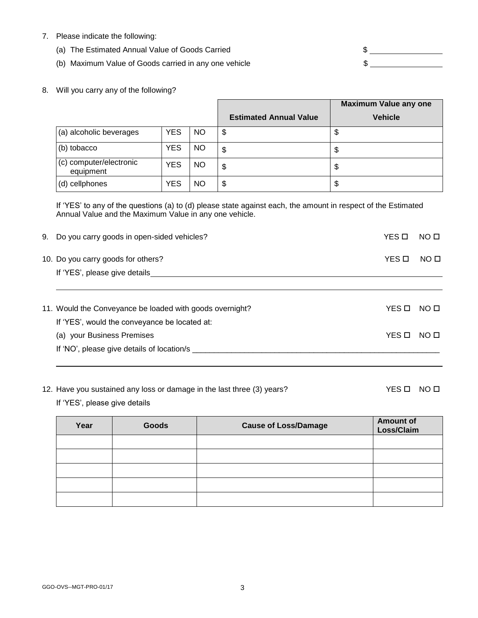- 7. Please indicate the following:
	- (a) The Estimated Annual Value of Goods Carried  $\text{S}$
	- (b) Maximum Value of Goods carried in any one vehicle  $\sim$  \$

8. Will you carry any of the following?

|                                      |            |           | <b>Maximum Value any one</b>  |                |
|--------------------------------------|------------|-----------|-------------------------------|----------------|
|                                      |            |           | <b>Estimated Annual Value</b> | <b>Vehicle</b> |
| (a) alcoholic beverages              | <b>YES</b> | <b>NO</b> | \$                            | \$             |
| (b) tobacco                          | <b>YES</b> | NO.       | \$                            | \$             |
| (c) computer/electronic<br>equipment | <b>YES</b> | NO.       | \$                            | \$             |
| (d) cellphones                       | YES        | ΝO        | \$                            | \$             |

If 'YES' to any of the questions (a) to (d) please state against each, the amount in respect of the Estimated Annual Value and the Maximum Value in any one vehicle.

| 9. Do you carry goods in open-sided vehicles?            | YES □ | NO <sub>0</sub> |
|----------------------------------------------------------|-------|-----------------|
| 10. Do you carry goods for others?                       | YES O | NO <sub>0</sub> |
| If 'YES', please give details                            |       |                 |
|                                                          |       |                 |
| 11. Would the Conveyance be loaded with goods overnight? | YES O | NO O            |
| If 'YES', would the conveyance be located at:            |       |                 |
| (a) your Business Premises                               | YES O | NO O            |
| If 'NO', please give details of location/s               |       |                 |
|                                                          |       |                 |

12. Have you sustained any loss or damage in the last three (3) years? YES D NO D

If 'YES', please give details

| Year | Goods | <b>Cause of Loss/Damage</b> | <b>Amount of</b><br>Loss/Claim |  |
|------|-------|-----------------------------|--------------------------------|--|
|      |       |                             |                                |  |
|      |       |                             |                                |  |
|      |       |                             |                                |  |
|      |       |                             |                                |  |
|      |       |                             |                                |  |